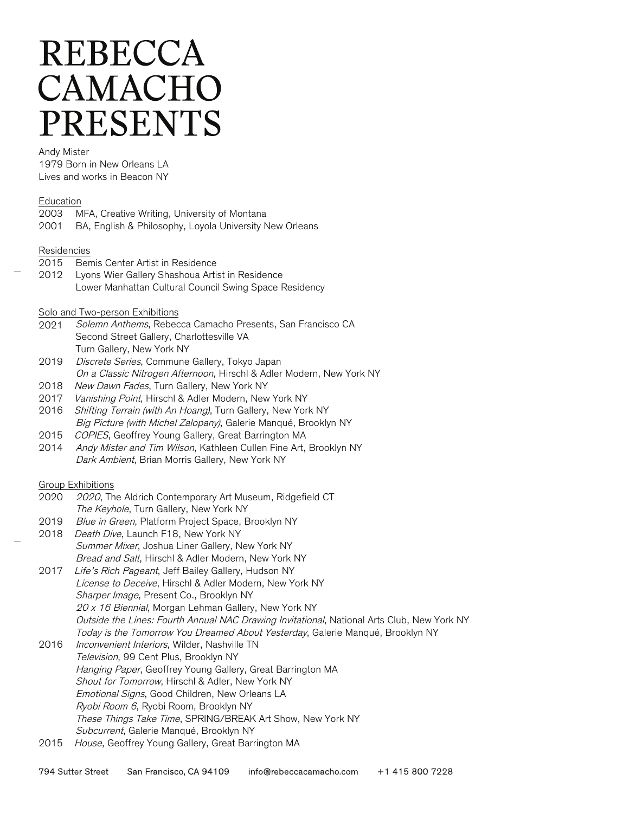# **REBECCA** CAMACHO **PRESENTS**

Andy Mister

1979 Born in New Orleans LA Lives and works in Beacon NY

#### Education

|      | 2003 MFA, Creative Writing, University of Montana       |
|------|---------------------------------------------------------|
| 2001 | BA, English & Philosophy, Loyola University New Orleans |

#### Residencies

- 2015 Bemis Center Artist in Residence
- 2012 Lyons Wier Gallery Shashoua Artist in Residence Lower Manhattan Cultural Council Swing Space Residency

#### Solo and Two-person Exhibitions

- 2021 Solemn Anthems, Rebecca Camacho Presents, San Francisco CA Second Street Gallery, Charlottesville VA Turn Gallery, New York NY
- 2019 Discrete Series, Commune Gallery, Tokyo Japan On a Classic Nitrogen Afternoon, Hirschl & Adler Modern, New York NY
- 2018 New Dawn Fades, Turn Gallery, New York NY
- 2017 Vanishing Point, Hirschl & Adler Modern, New York NY
- 2016 Shifting Terrain (with An Hoang), Turn Gallery, New York NY Big Picture (with Michel Zalopany), Galerie Manqué, Brooklyn NY
- 2015 COPIES, Geoffrey Young Gallery, Great Barrington MA
- 2014 Andy Mister and Tim Wilson, Kathleen Cullen Fine Art, Brooklyn NY Dark Ambient, Brian Morris Gallery, New York NY

# Group Exhibitions

- 2020 2020, The Aldrich Contemporary Art Museum, Ridgefield CT The Keyhole, Turn Gallery, New York NY
- 2019 Blue in Green, Platform Project Space, Brooklyn NY
- 2018 Death Dive, Launch F18, New York NY Summer Mixer, Joshua Liner Gallery, New York NY Bread and Salt, Hirschl & Adler Modern, New York NY
- 2017 Life's Rich Pageant, Jeff Bailey Gallery, Hudson NY License to Deceive, Hirschl & Adler Modern, New York NY Sharper Image, Present Co., Brooklyn NY 20 x 16 Biennial, Morgan Lehman Gallery, New York NY Outside the Lines: Fourth Annual NAC Drawing Invitational, National Arts Club, New York NY Today is the Tomorrow You Dreamed About Yesterday, Galerie Manqué, Brooklyn NY
- 2016 Inconvenient Interiors, Wilder, Nashville TN Television, 99 Cent Plus, Brooklyn NY Hanging Paper, Geoffrey Young Gallery, Great Barrington MA Shout for Tomorrow, Hirschl & Adler, New York NY Emotional Signs, Good Children, New Orleans LA Ryobi Room 6, Ryobi Room, Brooklyn NY These Things Take Time, SPRING/BREAK Art Show, New York NY Subcurrent, Galerie Manqué, Brooklyn NY
- 2015 House, Geoffrey Young Gallery, Great Barrington MA